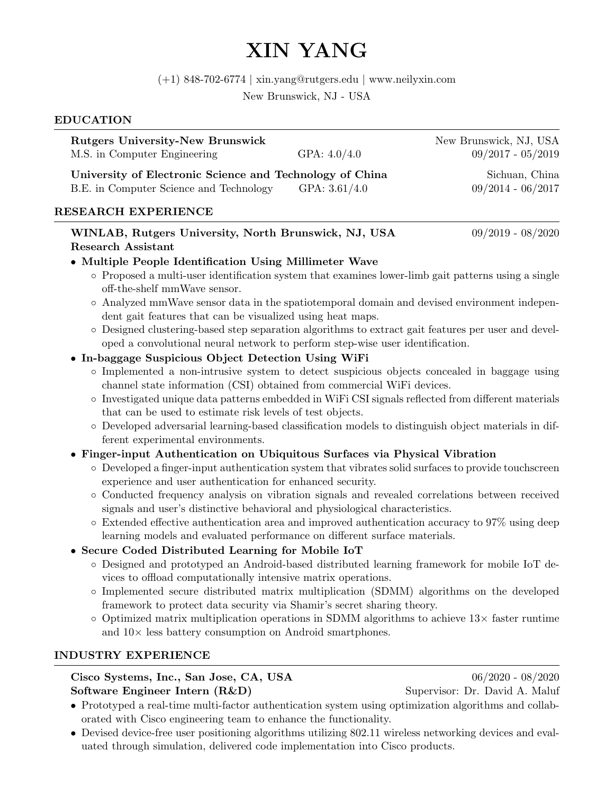# XIN YANG

(+1) 848-702-6774 | xin.yang@rutgers.edu | www.neilyxin.com

New Brunswick, NJ - USA

### EDUCATION

| <b>Rutgers University-New Brunswick</b>                  | New Brunswick, NJ, USA |                     |
|----------------------------------------------------------|------------------------|---------------------|
| M.S. in Computer Engineering                             | GPA: $4.0/4.0$         | $09/2017 - 05/2019$ |
| University of Electronic Science and Technology of China | Sichuan, China         |                     |
| B.E. in Computer Science and Technology                  | GPA: $3.61/4.0$        | $09/2014 - 06/2017$ |
|                                                          |                        |                     |

#### RESEARCH EXPERIENCE

WINLAB, Rutgers University, North Brunswick, NJ, USA  $09/2019 - 08/2020$ Research Assistant

## • Multiple People Identification Using Millimeter Wave

- Proposed a multi-user identification system that examines lower-limb gait patterns using a single off-the-shelf mmWave sensor.
- Analyzed mmWave sensor data in the spatiotemporal domain and devised environment independent gait features that can be visualized using heat maps.
- Designed clustering-based step separation algorithms to extract gait features per user and developed a convolutional neural network to perform step-wise user identification.

## • In-baggage Suspicious Object Detection Using WiFi

- Implemented a non-intrusive system to detect suspicious objects concealed in baggage using channel state information (CSI) obtained from commercial WiFi devices.
- Investigated unique data patterns embedded in WiFi CSI signals reflected from different materials that can be used to estimate risk levels of test objects.
- Developed adversarial learning-based classification models to distinguish object materials in different experimental environments.

# • Finger-input Authentication on Ubiquitous Surfaces via Physical Vibration

- Developed a finger-input authentication system that vibrates solid surfaces to provide touchscreen experience and user authentication for enhanced security.
- Conducted frequency analysis on vibration signals and revealed correlations between received signals and user's distinctive behavioral and physiological characteristics.
- Extended effective authentication area and improved authentication accuracy to 97% using deep learning models and evaluated performance on different surface materials.

# • Secure Coded Distributed Learning for Mobile IoT

- Designed and prototyped an Android-based distributed learning framework for mobile IoT devices to offload computationally intensive matrix operations.
- Implemented secure distributed matrix multiplication (SDMM) algorithms on the developed framework to protect data security via Shamir's secret sharing theory.
- $\circ$  Optimized matrix multiplication operations in SDMM algorithms to achieve 13 $\times$  faster runtime and 10× less battery consumption on Android smartphones.

#### INDUSTRY EXPERIENCE

Cisco Systems, Inc., San Jose, CA, USA 06/2020 - 08/2020 Software Engineer Intern (R&D) Supervisor: Dr. David A. Maluf

- Prototyped a real-time multi-factor authentication system using optimization algorithms and collaborated with Cisco engineering team to enhance the functionality.
- Devised device-free user positioning algorithms utilizing 802.11 wireless networking devices and evaluated through simulation, delivered code implementation into Cisco products.